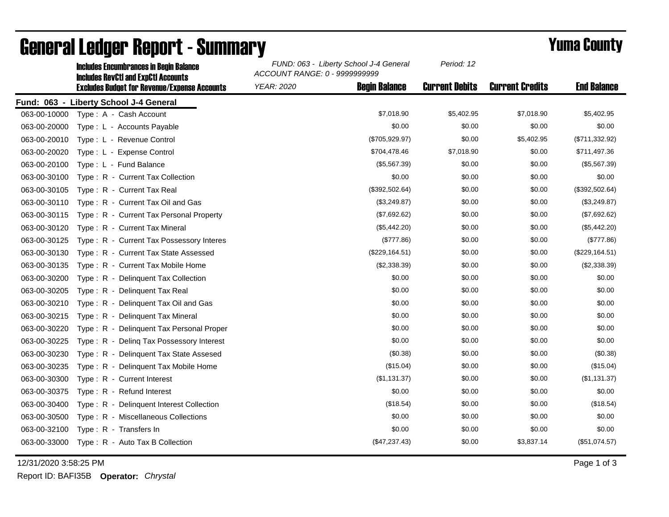|              | <b>Includes Encumbrances in Begin Balance</b><br><b>Includes RevCtI and ExpCtI Accounts</b><br><b>Excludes Budget for Revenue/Expense Accounts</b> | FUND: 063 - Liberty School J-4 General<br>ACCOUNT RANGE: 0 - 9999999999 | Period: 12            |                        |                    |
|--------------|----------------------------------------------------------------------------------------------------------------------------------------------------|-------------------------------------------------------------------------|-----------------------|------------------------|--------------------|
|              |                                                                                                                                                    | <b>Begin Balance</b><br><b>YEAR: 2020</b>                               | <b>Current Debits</b> | <b>Current Credits</b> | <b>End Balance</b> |
|              | Fund: 063 - Liberty School J-4 General                                                                                                             |                                                                         |                       |                        |                    |
| 063-00-10000 | Type: A - Cash Account                                                                                                                             | \$7,018.90                                                              | \$5,402.95            | \$7,018.90             | \$5,402.95         |
| 063-00-20000 | Type: L - Accounts Payable                                                                                                                         | \$0.00                                                                  | \$0.00                | \$0.00                 | \$0.00             |
| 063-00-20010 | Type: L - Revenue Control                                                                                                                          | (\$705,929.97)                                                          | \$0.00                | \$5,402.95             | (\$711,332.92)     |
| 063-00-20020 | Type: L - Expense Control                                                                                                                          | \$704,478.46                                                            | \$7,018.90            | \$0.00                 | \$711,497.36       |
| 063-00-20100 | Type: L - Fund Balance                                                                                                                             | (\$5,567.39)                                                            | \$0.00                | \$0.00                 | (\$5,567.39)       |
| 063-00-30100 | Type: R - Current Tax Collection                                                                                                                   | \$0.00                                                                  | \$0.00                | \$0.00                 | \$0.00             |
| 063-00-30105 | Type: R - Current Tax Real                                                                                                                         | (\$392,502.64)                                                          | \$0.00                | \$0.00                 | (\$392,502.64)     |
| 063-00-30110 | Type: R - Current Tax Oil and Gas                                                                                                                  | (\$3,249.87)                                                            | \$0.00                | \$0.00                 | (\$3,249.87)       |
| 063-00-30115 | Type: R - Current Tax Personal Property                                                                                                            | (\$7,692.62)                                                            | \$0.00                | \$0.00                 | (\$7,692.62)       |
| 063-00-30120 | Type: R - Current Tax Mineral                                                                                                                      | (\$5,442.20)                                                            | \$0.00                | \$0.00                 | (\$5,442.20)       |
| 063-00-30125 | Type: R - Current Tax Possessory Interes                                                                                                           | (\$777.86)                                                              | \$0.00                | \$0.00                 | (\$777.86)         |
| 063-00-30130 | Type: R - Current Tax State Assessed                                                                                                               | (\$229, 164.51)                                                         | \$0.00                | \$0.00                 | (\$229, 164.51)    |
| 063-00-30135 | Type: R - Current Tax Mobile Home                                                                                                                  | (\$2,338.39)                                                            | \$0.00                | \$0.00                 | (\$2,338.39)       |
| 063-00-30200 | Type: R - Delinquent Tax Collection                                                                                                                | \$0.00                                                                  | \$0.00                | \$0.00                 | \$0.00             |
| 063-00-30205 | Type: R - Delinquent Tax Real                                                                                                                      | \$0.00                                                                  | \$0.00                | \$0.00                 | \$0.00             |
| 063-00-30210 | Type: R - Delinquent Tax Oil and Gas                                                                                                               | \$0.00                                                                  | \$0.00                | \$0.00                 | \$0.00             |
| 063-00-30215 | Type: R - Delinquent Tax Mineral                                                                                                                   | \$0.00                                                                  | \$0.00                | \$0.00                 | \$0.00             |
| 063-00-30220 | Type: R - Delinguent Tax Personal Proper                                                                                                           | \$0.00                                                                  | \$0.00                | \$0.00                 | \$0.00             |
| 063-00-30225 | Type: R - Deling Tax Possessory Interest                                                                                                           | \$0.00                                                                  | \$0.00                | \$0.00                 | \$0.00             |
| 063-00-30230 | Type: R - Delinguent Tax State Assesed                                                                                                             | (\$0.38)                                                                | \$0.00                | \$0.00                 | (\$0.38)           |
| 063-00-30235 | Type: R - Delinquent Tax Mobile Home                                                                                                               | (\$15.04)                                                               | \$0.00                | \$0.00                 | (\$15.04)          |
| 063-00-30300 | Type: R - Current Interest                                                                                                                         | (\$1,131.37)                                                            | \$0.00                | \$0.00                 | (\$1,131.37)       |
| 063-00-30375 | Type: R - Refund Interest                                                                                                                          | \$0.00                                                                  | \$0.00                | \$0.00                 | \$0.00             |
| 063-00-30400 | Type: R - Delinquent Interest Collection                                                                                                           | (\$18.54)                                                               | \$0.00                | \$0.00                 | (\$18.54)          |
| 063-00-30500 | Type: R - Miscellaneous Collections                                                                                                                | \$0.00                                                                  | \$0.00                | \$0.00                 | \$0.00             |
| 063-00-32100 | Type: R - Transfers In                                                                                                                             | \$0.00                                                                  | \$0.00                | \$0.00                 | \$0.00             |
| 063-00-33000 | Type: R - Auto Tax B Collection                                                                                                                    | (\$47,237.43)                                                           | \$0.00                | \$3,837.14             | (\$51,074.57)      |

## General Ledger Report - Summary **Example 2018** Yuma County

12/31/2020 3:58:25 PM Page 1 of 3

Report ID: BAFI35B **Operator:** *Chrystal*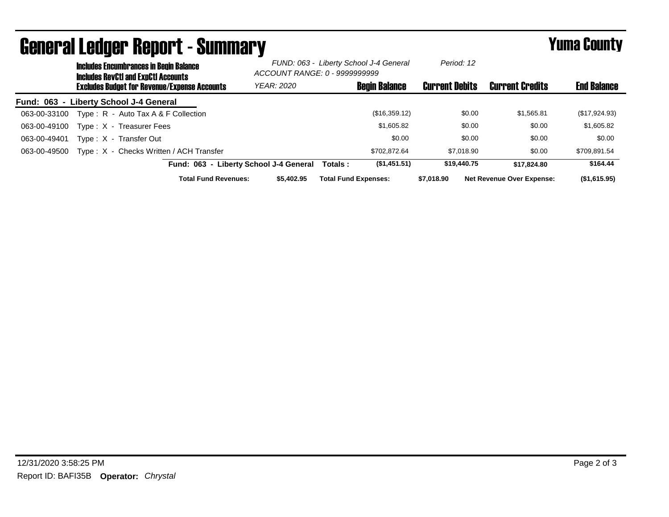| ugiigi ai lguygi ngpolit - duinniai y |                                                                                             |                                                     |                                        |                                                                         | I UMU VVUNTY          |                                  |                    |
|---------------------------------------|---------------------------------------------------------------------------------------------|-----------------------------------------------------|----------------------------------------|-------------------------------------------------------------------------|-----------------------|----------------------------------|--------------------|
|                                       | <b>Includes Encumbrances in Begin Balance</b><br><b>Includes RevCtI and ExpCtI Accounts</b> |                                                     |                                        | FUND: 063 - Liberty School J-4 General<br>ACCOUNT RANGE: 0 - 9999999999 |                       |                                  |                    |
|                                       |                                                                                             | <b>Excludes Budget for Revenue/Expense Accounts</b> | YEAR: 2020                             | <b>Begin Balance</b>                                                    | <b>Current Debits</b> | <b>Current Credits</b>           | <b>End Balance</b> |
|                                       |                                                                                             | Fund: 063 - Liberty School J-4 General              |                                        |                                                                         |                       |                                  |                    |
| 063-00-33100                          |                                                                                             | Type: R - Auto Tax A & F Collection                 |                                        | (\$16,359.12)                                                           | \$0.00                | \$1,565.81                       | (\$17,924.93)      |
| 063-00-49100                          |                                                                                             | Type: X - Treasurer Fees                            |                                        | \$1,605.82                                                              | \$0.00                | \$0.00                           | \$1,605.82         |
| 063-00-49401                          |                                                                                             | Type: X - Transfer Out                              |                                        | \$0.00                                                                  | \$0.00                | \$0.00                           | \$0.00             |
| 063-00-49500                          |                                                                                             | Type: X - Checks Written / ACH Transfer             |                                        | \$702.872.64                                                            | \$7,018.90            | \$0.00                           | \$709,891.54       |
|                                       |                                                                                             |                                                     | Fund: 063 - Liberty School J-4 General | (\$1,451.51)<br>Totals :                                                | \$19,440.75           | \$17.824.80                      | \$164.44           |
|                                       |                                                                                             | <b>Total Fund Revenues:</b>                         | \$5,402.95                             | <b>Total Fund Expenses:</b>                                             | \$7.018.90            | <b>Net Revenue Over Expense:</b> | (\$1,615.95)       |

## General Ledger Report - Summary Yuma County